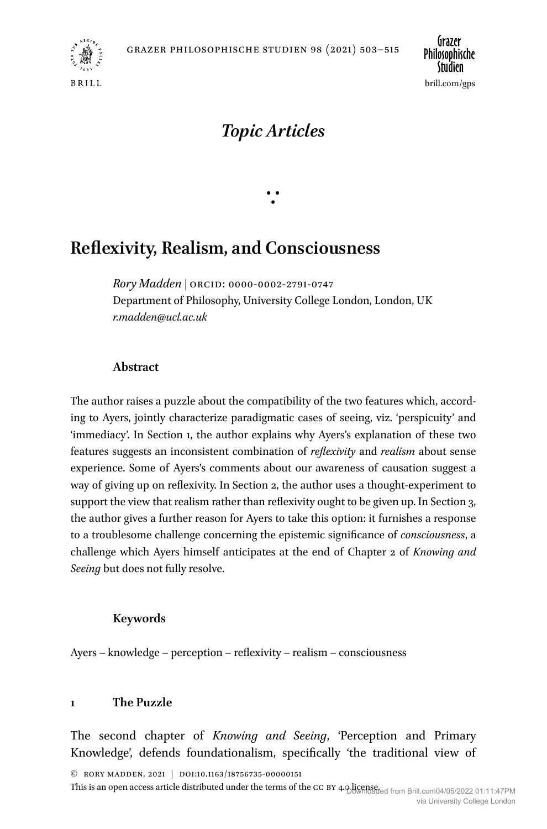

*Topic Articles*

 $\ddot{\cdot}$ 

# **Reflexivity, Realism, and Consciousness**

*Rory Madden* | ORCID: 0000-0002-2791-0747 Department of Philosophy, University College London, London, UK *[r.madden@ucl.ac.uk](mailto:r.madden@ucl.ac.uk)*

### **Abstract**

The author raises a puzzle about the compatibility of the two features which, according to Ayers, jointly characterize paradigmatic cases of seeing, viz. 'perspicuity' and 'immediacy'. In Section 1, the author explains why Ayers's explanation of these two features suggests an inconsistent combination of *reflexivity* and *realism* about sense experience. Some of Ayers's comments about our awareness of causation suggest a way of giving up on reflexivity. In Section 2, the author uses a thought-experiment to support the view that realism rather than reflexivity ought to be given up. In Section 3, the author gives a further reason for Ayers to take this option: it furnishes a response to a troublesome challenge concerning the epistemic significance of *consciousness*, a challenge which Ayers himself anticipates at the end of Chapter 2 of *Knowing and Seeing* but does not fully resolve.

## **Keywords**

Ayers – knowledge – perception – reflexivity – realism – consciousness

## **1 The Puzzle**

The second chapter of *Knowing and Seeing*, 'Perception and Primary Knowledge', defends foundationalism, specifically 'the traditional view of

© RORY MADDEN, 2021 | doi:10.1163/18756735-00000151

This is an open access article distributed under the terms of the CC BY 4.0 licensed from Brill.com04/05/2022 01:11:47PM via University College London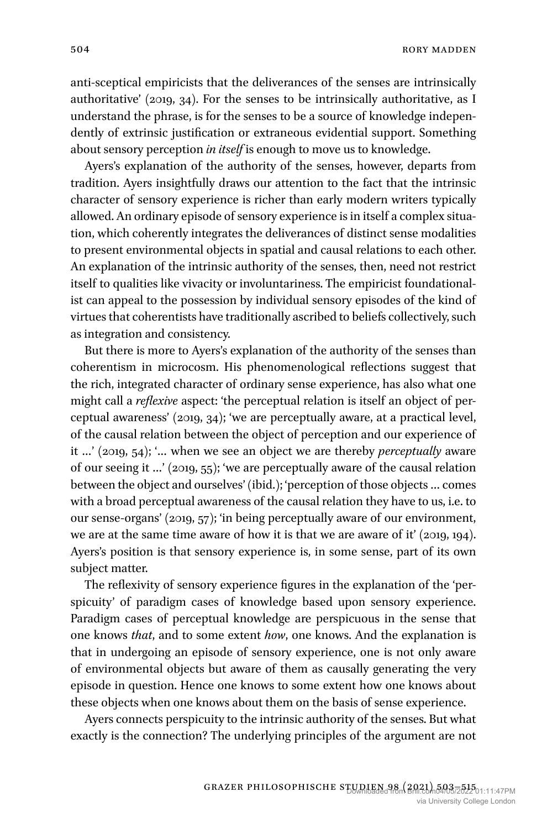anti-sceptical empiricists that the deliverances of the senses are intrinsically authoritative' (2019, 34). For the senses to be intrinsically authoritative, as I understand the phrase, is for the senses to be a source of knowledge independently of extrinsic justification or extraneous evidential support. Something about sensory perception *in itself* is enough to move us to knowledge.

Ayers's explanation of the authority of the senses, however, departs from tradition. Ayers insightfully draws our attention to the fact that the intrinsic character of sensory experience is richer than early modern writers typically allowed. An ordinary episode of sensory experience is in itself a complex situation, which coherently integrates the deliverances of distinct sense modalities to present environmental objects in spatial and causal relations to each other. An explanation of the intrinsic authority of the senses, then, need not restrict itself to qualities like vivacity or involuntariness. The empiricist foundationalist can appeal to the possession by individual sensory episodes of the kind of virtues that coherentists have traditionally ascribed to beliefs collectively, such as integration and consistency.

But there is more to Ayers's explanation of the authority of the senses than coherentism in microcosm. His phenomenological reflections suggest that the rich, integrated character of ordinary sense experience, has also what one might call a *reflexive* aspect: 'the perceptual relation is itself an object of perceptual awareness' (2019, 34); 'we are perceptually aware, at a practical level, of the causal relation between the object of perception and our experience of it …' (2019, 54); '… when we see an object we are thereby *perceptually* aware of our seeing it …' (2019, 55); 'we are perceptually aware of the causal relation between the object and ourselves' (ibid.); 'perception of those objects … comes with a broad perceptual awareness of the causal relation they have to us, i.e. to our sense-organs' (2019, 57); 'in being perceptually aware of our environment, we are at the same time aware of how it is that we are aware of it' (2019, 194). Ayers's position is that sensory experience is, in some sense, part of its own subject matter.

The reflexivity of sensory experience figures in the explanation of the 'perspicuity' of paradigm cases of knowledge based upon sensory experience. Paradigm cases of perceptual knowledge are perspicuous in the sense that one knows *that*, and to some extent *how*, one knows. And the explanation is that in undergoing an episode of sensory experience, one is not only aware of environmental objects but aware of them as causally generating the very episode in question. Hence one knows to some extent how one knows about these objects when one knows about them on the basis of sense experience.

Ayers connects perspicuity to the intrinsic authority of the senses. But what exactly is the connection? The underlying principles of the argument are not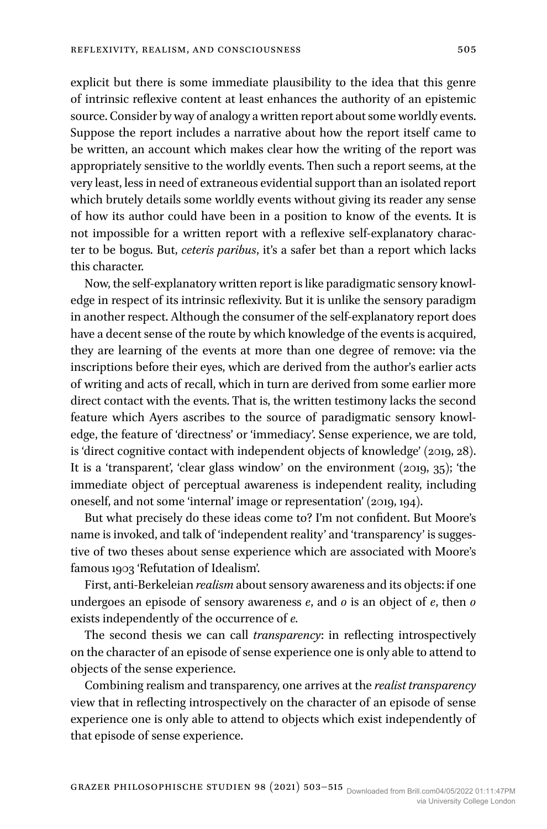explicit but there is some immediate plausibility to the idea that this genre of intrinsic reflexive content at least enhances the authority of an epistemic source. Consider by way of analogy a written report about some worldly events. Suppose the report includes a narrative about how the report itself came to be written, an account which makes clear how the writing of the report was appropriately sensitive to the worldly events. Then such a report seems, at the very least, less in need of extraneous evidential support than an isolated report which brutely details some worldly events without giving its reader any sense of how its author could have been in a position to know of the events. It is not impossible for a written report with a reflexive self-explanatory character to be bogus. But, *ceteris paribus*, it's a safer bet than a report which lacks this character.

Now, the self-explanatory written report is like paradigmatic sensory knowledge in respect of its intrinsic reflexivity. But it is unlike the sensory paradigm in another respect. Although the consumer of the self-explanatory report does have a decent sense of the route by which knowledge of the events is acquired, they are learning of the events at more than one degree of remove: via the inscriptions before their eyes, which are derived from the author's earlier acts of writing and acts of recall, which in turn are derived from some earlier more direct contact with the events. That is, the written testimony lacks the second feature which Ayers ascribes to the source of paradigmatic sensory knowledge, the feature of 'directness' or 'immediacy'. Sense experience, we are told, is 'direct cognitive contact with independent objects of knowledge' (2019, 28). It is a 'transparent', 'clear glass window' on the environment (2019, 35); 'the immediate object of perceptual awareness is independent reality, including oneself, and not some 'internal' image or representation' (2019, 194).

But what precisely do these ideas come to? I'm not confident. But Moore's name is invoked, and talk of 'independent reality' and 'transparency' is suggestive of two theses about sense experience which are associated with Moore's famous 1903 'Refutation of Idealism'.

First, anti-Berkeleian *realism* about sensory awareness and its objects: if one undergoes an episode of sensory awareness *e*, and *o* is an object of *e*, then *o* exists independently of the occurrence of *e.*

The second thesis we can call *transparency*: in reflecting introspectively on the character of an episode of sense experience one is only able to attend to objects of the sense experience.

Combining realism and transparency, one arrives at the *realist transparency* view that in reflecting introspectively on the character of an episode of sense experience one is only able to attend to objects which exist independently of that episode of sense experience.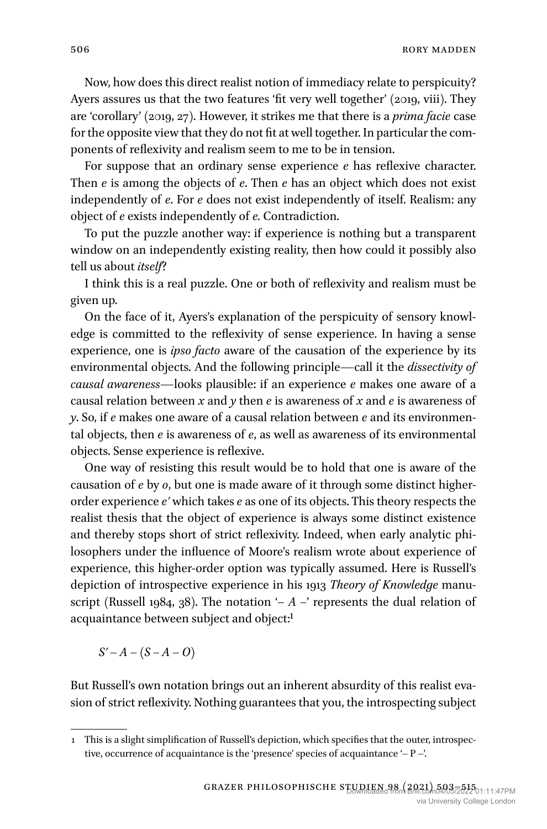Now, how does this direct realist notion of immediacy relate to perspicuity? Ayers assures us that the two features 'fit very well together' (2019, viii). They are 'corollary' (2019, 27). However, it strikes me that there is a *prima facie* case for the opposite view that they do not fit at well together. In particular the components of reflexivity and realism seem to me to be in tension.

For suppose that an ordinary sense experience *e* has reflexive character. Then *e* is among the objects of *e*. Then *e* has an object which does not exist independently of *e*. For *e* does not exist independently of itself. Realism: any object of *e* exists independently of *e.* Contradiction.

To put the puzzle another way: if experience is nothing but a transparent window on an independently existing reality, then how could it possibly also tell us about *itself*?

I think this is a real puzzle. One or both of reflexivity and realism must be given up.

On the face of it, Ayers's explanation of the perspicuity of sensory knowledge is committed to the reflexivity of sense experience. In having a sense experience, one is *ipso facto* aware of the causation of the experience by its environmental objects. And the following principle—call it the *dissectivity of causal awareness*—looks plausible: if an experience *e* makes one aware of a causal relation between *x* and *y* then *e* is awareness of *x* and *e* is awareness of *y*. So, if *e* makes one aware of a causal relation between *e* and its environmental objects, then *e* is awareness of *e*, as well as awareness of its environmental objects. Sense experience is reflexive.

One way of resisting this result would be to hold that one is aware of the causation of *e* by *o*, but one is made aware of it through some distinct higherorder experience *e′* which takes *e* as one of its objects. This theory respects the realist thesis that the object of experience is always some distinct existence and thereby stops short of strict reflexivity. Indeed, when early analytic philosophers under the influence of Moore's realism wrote about experience of experience, this higher-order option was typically assumed. Here is Russell's depiction of introspective experience in his 1913 *Theory of Knowledge* manuscript (Russell 1984, 38). The notation  $- A -$ ' represents the dual relation of acquaintance between subject and object:1

*S′* – *A* – (*S – A* – *O*)

But Russell's own notation brings out an inherent absurdity of this realist evasion of strict reflexivity. Nothing guarantees that you, the introspecting subject

<sup>1</sup> This is a slight simplification of Russell's depiction, which specifies that the outer, introspective, occurrence of acquaintance is the 'presence' species of acquaintance '– P –'.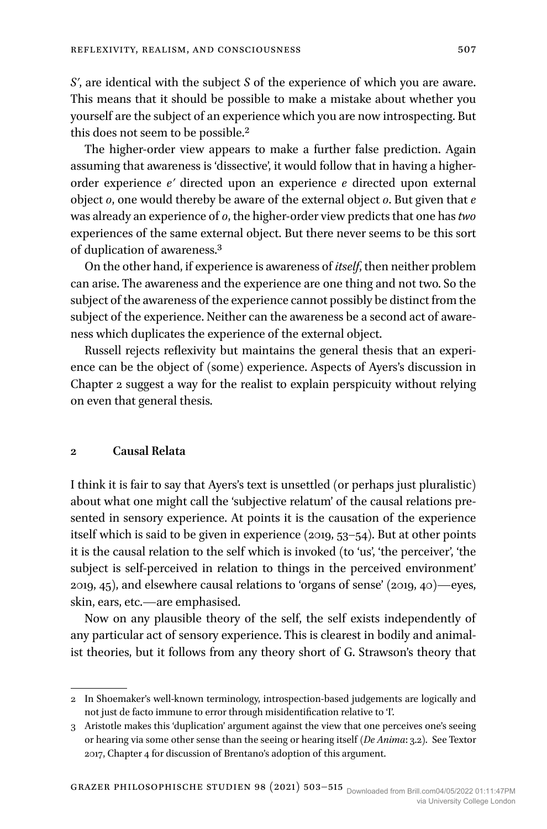*S′*, are identical with the subject *S* of the experience of which you are aware. This means that it should be possible to make a mistake about whether you yourself are the subject of an experience which you are now introspecting. But this does not seem to be possible.2

The higher-order view appears to make a further false prediction. Again assuming that awareness is 'dissective', it would follow that in having a higherorder experience *e′* directed upon an experience *e* directed upon external object *o*, one would thereby be aware of the external object *o*. But given that *e* was already an experience of *o*, the higher-order view predicts that one has *two* experiences of the same external object. But there never seems to be this sort of duplication of awareness.3

On the other hand, if experience is awareness of *itself*, then neither problem can arise. The awareness and the experience are one thing and not two. So the subject of the awareness of the experience cannot possibly be distinct from the subject of the experience. Neither can the awareness be a second act of awareness which duplicates the experience of the external object.

Russell rejects reflexivity but maintains the general thesis that an experience can be the object of (some) experience. Aspects of Ayers's discussion in Chapter 2 suggest a way for the realist to explain perspicuity without relying on even that general thesis.

#### **2 Causal Relata**

I think it is fair to say that Ayers's text is unsettled (or perhaps just pluralistic) about what one might call the 'subjective relatum' of the causal relations presented in sensory experience. At points it is the causation of the experience itself which is said to be given in experience (2019, 53–54). But at other points it is the causal relation to the self which is invoked (to 'us', 'the perceiver', 'the subject is self-perceived in relation to things in the perceived environment' 2019, 45), and elsewhere causal relations to 'organs of sense' (2019, 40)—eyes, skin, ears, etc.—are emphasised.

Now on any plausible theory of the self, the self exists independently of any particular act of sensory experience. This is clearest in bodily and animalist theories, but it follows from any theory short of G. Strawson's theory that

<sup>2</sup> In Shoemaker's well-known terminology, introspection-based judgements are logically and not just de facto immune to error through misidentification relative to 'I'.

<sup>3</sup> Aristotle makes this 'duplication' argument against the view that one perceives one's seeing or hearing via some other sense than the seeing or hearing itself (*De Anima*: 3.2). See Textor 2017, Chapter 4 for discussion of Brentano's adoption of this argument.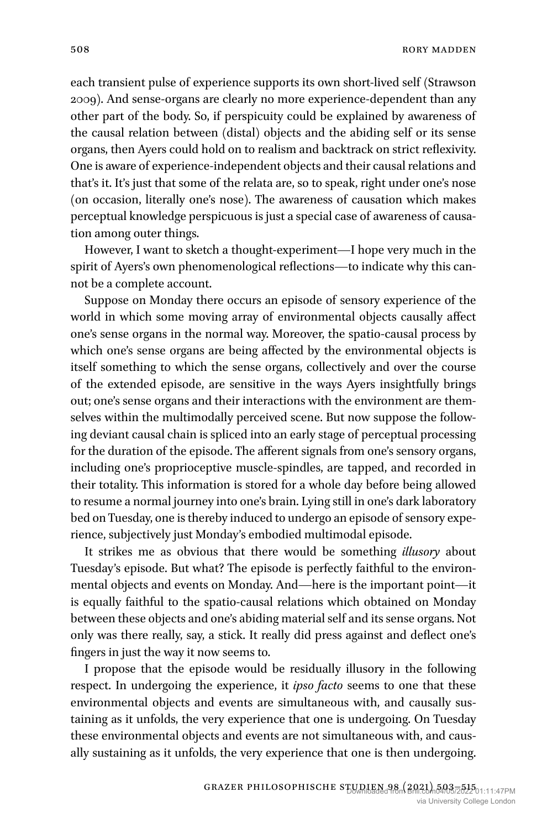each transient pulse of experience supports its own short-lived self (Strawson 2009). And sense-organs are clearly no more experience-dependent than any other part of the body. So, if perspicuity could be explained by awareness of the causal relation between (distal) objects and the abiding self or its sense organs, then Ayers could hold on to realism and backtrack on strict reflexivity. One is aware of experience-independent objects and their causal relations and that's it. It's just that some of the relata are, so to speak, right under one's nose (on occasion, literally one's nose). The awareness of causation which makes perceptual knowledge perspicuous is just a special case of awareness of causation among outer things.

However, I want to sketch a thought-experiment—I hope very much in the spirit of Ayers's own phenomenological reflections—to indicate why this cannot be a complete account.

Suppose on Monday there occurs an episode of sensory experience of the world in which some moving array of environmental objects causally affect one's sense organs in the normal way. Moreover, the spatio-causal process by which one's sense organs are being affected by the environmental objects is itself something to which the sense organs, collectively and over the course of the extended episode, are sensitive in the ways Ayers insightfully brings out; one's sense organs and their interactions with the environment are themselves within the multimodally perceived scene. But now suppose the following deviant causal chain is spliced into an early stage of perceptual processing for the duration of the episode. The afferent signals from one's sensory organs, including one's proprioceptive muscle-spindles, are tapped, and recorded in their totality. This information is stored for a whole day before being allowed to resume a normal journey into one's brain. Lying still in one's dark laboratory bed on Tuesday, one is thereby induced to undergo an episode of sensory experience, subjectively just Monday's embodied multimodal episode.

It strikes me as obvious that there would be something *illusory* about Tuesday's episode. But what? The episode is perfectly faithful to the environmental objects and events on Monday. And—here is the important point—it is equally faithful to the spatio-causal relations which obtained on Monday between these objects and one's abiding material self and its sense organs. Not only was there really, say, a stick. It really did press against and deflect one's fingers in just the way it now seems to.

I propose that the episode would be residually illusory in the following respect. In undergoing the experience, it *ipso facto* seems to one that these environmental objects and events are simultaneous with, and causally sustaining as it unfolds, the very experience that one is undergoing. On Tuesday these environmental objects and events are not simultaneous with, and causally sustaining as it unfolds, the very experience that one is then undergoing.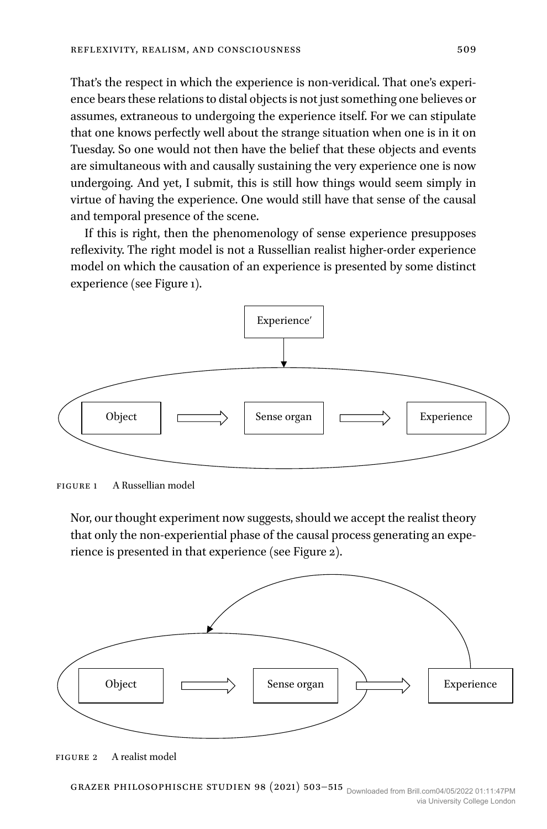That's the respect in which the experience is non-veridical. That one's experience bears these relations to distal objects is not just something one believes or assumes, extraneous to undergoing the experience itself. For we can stipulate that one knows perfectly well about the strange situation when one is in it on Tuesday. So one would not then have the belief that these objects and events are simultaneous with and causally sustaining the very experience one is now undergoing. And yet, I submit, this is still how things would seem simply in virtue of having the experience. One would still have that sense of the causal and temporal presence of the scene.

If this is right, then the phenomenology of sense experience presupposes reflexivity. The right model is not a Russellian realist higher-order experience model on which the causation of an experience is presented by some distinct experience (see Figure 1).



Figure 1 A Russellian model

Nor, our thought experiment now suggests, should we accept the realist theory that only the non-experiential phase of the causal process generating an experience is presented in that experience (see Figure 2).



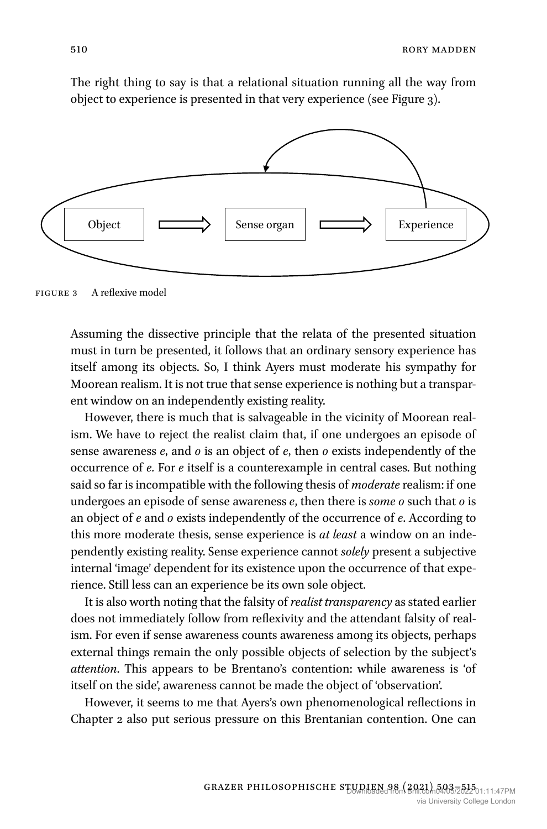The right thing to say is that a relational situation running all the way from object to experience is presented in that very experience (see Figure 3).



Figure 3 A reflexive model

Assuming the dissective principle that the relata of the presented situation must in turn be presented, it follows that an ordinary sensory experience has itself among its objects. So, I think Ayers must moderate his sympathy for Moorean realism. It is not true that sense experience is nothing but a transparent window on an independently existing reality.

However, there is much that is salvageable in the vicinity of Moorean realism. We have to reject the realist claim that, if one undergoes an episode of sense awareness *e*, and *o* is an object of *e*, then *o* exists independently of the occurrence of *e.* For *e* itself is a counterexample in central cases. But nothing said so far is incompatible with the following thesis of *moderate* realism: if one undergoes an episode of sense awareness *e*, then there is *some o* such that *o* is an object of *e* and *o* exists independently of the occurrence of *e*. According to this more moderate thesis, sense experience is *at least* a window on an independently existing reality. Sense experience cannot *solely* present a subjective internal 'image' dependent for its existence upon the occurrence of that experience. Still less can an experience be its own sole object.

It is also worth noting that the falsity of *realist transparency* as stated earlier does not immediately follow from reflexivity and the attendant falsity of realism. For even if sense awareness counts awareness among its objects, perhaps external things remain the only possible objects of selection by the subject's *attention*. This appears to be Brentano's contention: while awareness is 'of itself on the side', awareness cannot be made the object of 'observation'.

However, it seems to me that Ayers's own phenomenological reflections in Chapter 2 also put serious pressure on this Brentanian contention. One can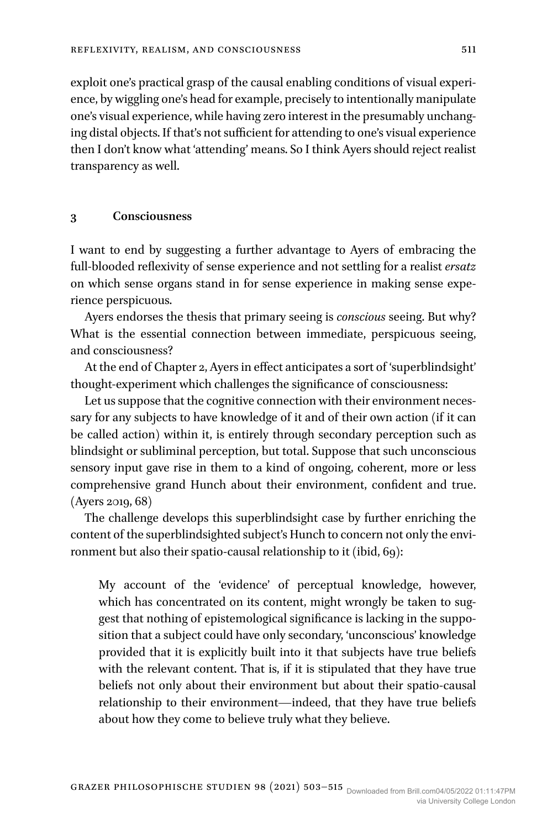exploit one's practical grasp of the causal enabling conditions of visual experience, by wiggling one's head for example, precisely to intentionally manipulate one's visual experience, while having zero interest in the presumably unchanging distal objects. If that's not sufficient for attending to one's visual experience then I don't know what 'attending' means. So I think Ayers should reject realist transparency as well.

#### **3 Consciousness**

I want to end by suggesting a further advantage to Ayers of embracing the full-blooded reflexivity of sense experience and not settling for a realist *ersatz* on which sense organs stand in for sense experience in making sense experience perspicuous.

Ayers endorses the thesis that primary seeing is *conscious* seeing. But why? What is the essential connection between immediate, perspicuous seeing, and consciousness?

At the end of Chapter 2, Ayers in effect anticipates a sort of 'superblindsight' thought-experiment which challenges the significance of consciousness:

Let us suppose that the cognitive connection with their environment necessary for any subjects to have knowledge of it and of their own action (if it can be called action) within it, is entirely through secondary perception such as blindsight or subliminal perception, but total. Suppose that such unconscious sensory input gave rise in them to a kind of ongoing, coherent, more or less comprehensive grand Hunch about their environment, confident and true. (Ayers 2019, 68)

The challenge develops this superblindsight case by further enriching the content of the superblindsighted subject's Hunch to concern not only the environment but also their spatio-causal relationship to it (ibid, 69):

My account of the 'evidence' of perceptual knowledge, however, which has concentrated on its content, might wrongly be taken to suggest that nothing of epistemological significance is lacking in the supposition that a subject could have only secondary, 'unconscious' knowledge provided that it is explicitly built into it that subjects have true beliefs with the relevant content. That is, if it is stipulated that they have true beliefs not only about their environment but about their spatio-causal relationship to their environment—indeed, that they have true beliefs about how they come to believe truly what they believe.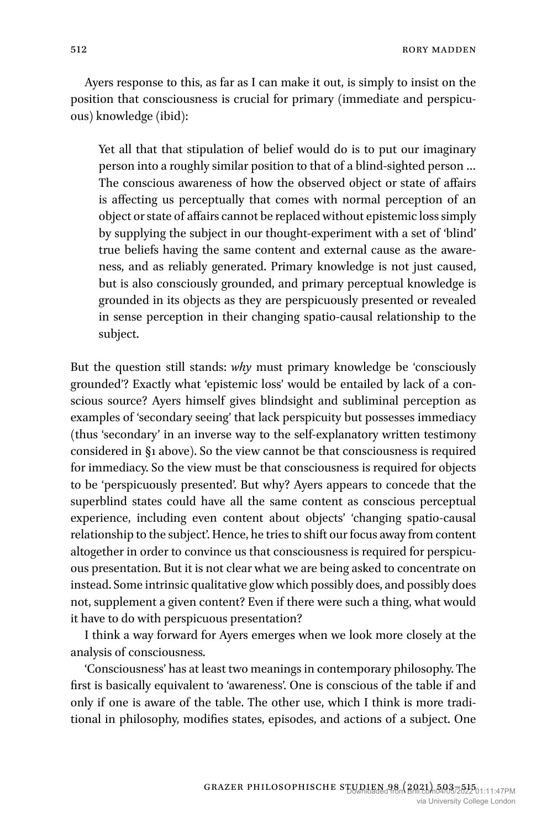Ayers response to this, as far as I can make it out, is simply to insist on the position that consciousness is crucial for primary (immediate and perspicuous) knowledge (ibid):

Yet all that that stipulation of belief would do is to put our imaginary person into a roughly similar position to that of a blind-sighted person … The conscious awareness of how the observed object or state of affairs is affecting us perceptually that comes with normal perception of an object or state of affairs cannot be replaced without epistemic loss simply by supplying the subject in our thought-experiment with a set of 'blind' true beliefs having the same content and external cause as the awareness, and as reliably generated. Primary knowledge is not just caused, but is also consciously grounded, and primary perceptual knowledge is grounded in its objects as they are perspicuously presented or revealed in sense perception in their changing spatio-causal relationship to the subject.

But the question still stands: *why* must primary knowledge be 'consciously grounded'? Exactly what 'epistemic loss' would be entailed by lack of a conscious source? Ayers himself gives blindsight and subliminal perception as examples of 'secondary seeing' that lack perspicuity but possesses immediacy (thus 'secondary' in an inverse way to the self-explanatory written testimony considered in §1 above). So the view cannot be that consciousness is required for immediacy. So the view must be that consciousness is required for objects to be 'perspicuously presented'. But why? Ayers appears to concede that the superblind states could have all the same content as conscious perceptual experience, including even content about objects' 'changing spatio-causal relationship to the subject'. Hence, he tries to shift our focus away from content altogether in order to convince us that consciousness is required for perspicuous presentation. But it is not clear what we are being asked to concentrate on instead. Some intrinsic qualitative glow which possibly does, and possibly does not, supplement a given content? Even if there were such a thing, what would it have to do with perspicuous presentation?

I think a way forward for Ayers emerges when we look more closely at the analysis of consciousness.

'Consciousness' has at least two meanings in contemporary philosophy. The first is basically equivalent to 'awareness'. One is conscious of the table if and only if one is aware of the table. The other use, which I think is more traditional in philosophy, modifies states, episodes, and actions of a subject. One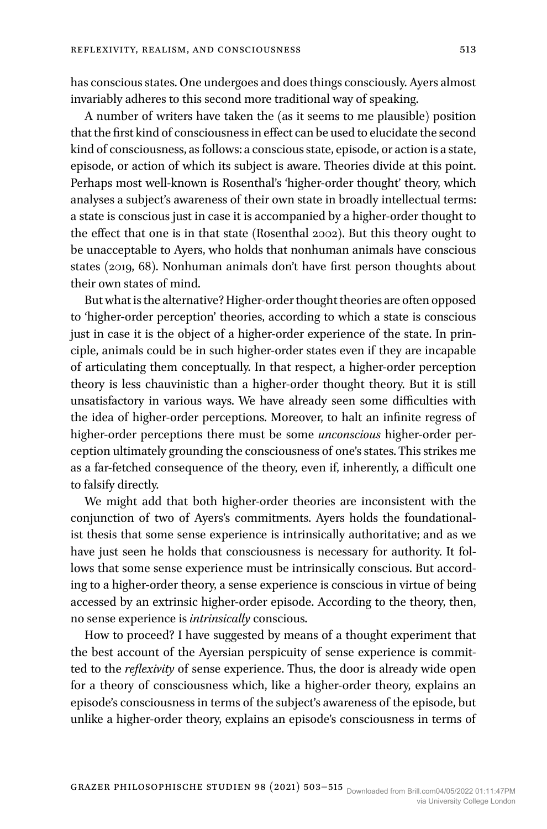has conscious states. One undergoes and does things consciously. Ayers almost invariably adheres to this second more traditional way of speaking.

A number of writers have taken the (as it seems to me plausible) position that the first kind of consciousness in effect can be used to elucidate the second kind of consciousness, as follows: a conscious state, episode, or action is a state, episode, or action of which its subject is aware. Theories divide at this point. Perhaps most well-known is Rosenthal's 'higher-order thought' theory, which analyses a subject's awareness of their own state in broadly intellectual terms: a state is conscious just in case it is accompanied by a higher-order thought to the effect that one is in that state (Rosenthal 2002). But this theory ought to be unacceptable to Ayers, who holds that nonhuman animals have conscious states (2019, 68). Nonhuman animals don't have first person thoughts about their own states of mind.

But what is the alternative? Higher-order thought theories are often opposed to 'higher-order perception' theories, according to which a state is conscious just in case it is the object of a higher-order experience of the state. In principle, animals could be in such higher-order states even if they are incapable of articulating them conceptually. In that respect, a higher-order perception theory is less chauvinistic than a higher-order thought theory. But it is still unsatisfactory in various ways. We have already seen some difficulties with the idea of higher-order perceptions. Moreover, to halt an infinite regress of higher-order perceptions there must be some *unconscious* higher-order perception ultimately grounding the consciousness of one's states. This strikes me as a far-fetched consequence of the theory, even if, inherently, a difficult one to falsify directly.

We might add that both higher-order theories are inconsistent with the conjunction of two of Ayers's commitments. Ayers holds the foundationalist thesis that some sense experience is intrinsically authoritative; and as we have just seen he holds that consciousness is necessary for authority. It follows that some sense experience must be intrinsically conscious. But according to a higher-order theory, a sense experience is conscious in virtue of being accessed by an extrinsic higher-order episode. According to the theory, then, no sense experience is *intrinsically* conscious.

How to proceed? I have suggested by means of a thought experiment that the best account of the Ayersian perspicuity of sense experience is committed to the *reflexivity* of sense experience. Thus, the door is already wide open for a theory of consciousness which, like a higher-order theory, explains an episode's consciousness in terms of the subject's awareness of the episode, but unlike a higher-order theory, explains an episode's consciousness in terms of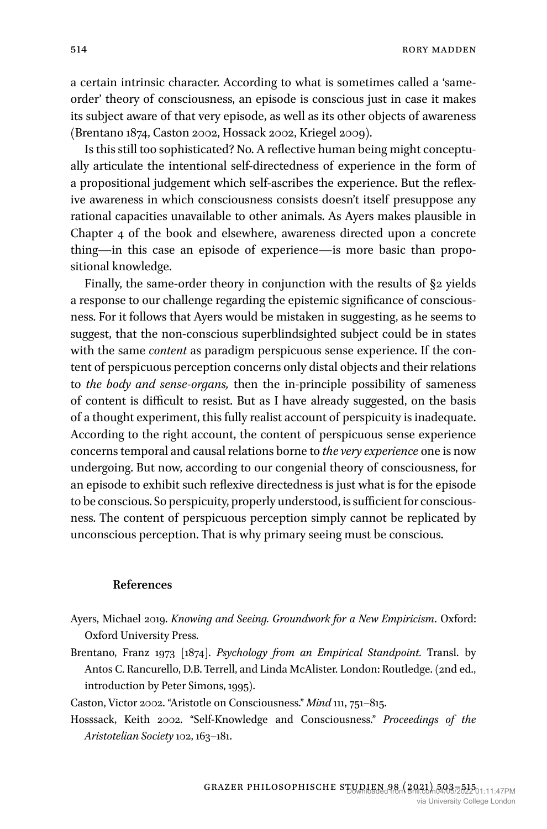a certain intrinsic character. According to what is sometimes called a 'sameorder' theory of consciousness, an episode is conscious just in case it makes its subject aware of that very episode, as well as its other objects of awareness (Brentano 1874, Caston 2002, Hossack 2002, Kriegel 2009).

Is this still too sophisticated? No. A reflective human being might conceptually articulate the intentional self-directedness of experience in the form of a propositional judgement which self-ascribes the experience. But the reflexive awareness in which consciousness consists doesn't itself presuppose any rational capacities unavailable to other animals. As Ayers makes plausible in Chapter 4 of the book and elsewhere, awareness directed upon a concrete thing—in this case an episode of experience—is more basic than propositional knowledge.

Finally, the same-order theory in conjunction with the results of §2 yields a response to our challenge regarding the epistemic significance of consciousness. For it follows that Ayers would be mistaken in suggesting, as he seems to suggest, that the non-conscious superblindsighted subject could be in states with the same *content* as paradigm perspicuous sense experience. If the content of perspicuous perception concerns only distal objects and their relations to *the body and sense-organs,* then the in-principle possibility of sameness of content is difficult to resist. But as I have already suggested, on the basis of a thought experiment, this fully realist account of perspicuity is inadequate. According to the right account, the content of perspicuous sense experience concerns temporal and causal relations borne to *the very experience* one is now undergoing. But now, according to our congenial theory of consciousness, for an episode to exhibit such reflexive directedness is just what is for the episode to be conscious. So perspicuity, properly understood, is sufficient for consciousness. The content of perspicuous perception simply cannot be replicated by unconscious perception. That is why primary seeing must be conscious.

#### **References**

- Ayers, Michael 2019. *Knowing and Seeing. Groundwork for a New Empiricism*. Oxford: Oxford University Press.
- Brentano, Franz 1973 [1874]. *Psychology from an Empirical Standpoint.* Transl. by Antos C. Rancurello, D.B. Terrell, and Linda McAlister. London: Routledge. (2nd ed., introduction by Peter Simons, 1995).

Caston, Victor 2002. "Aristotle on Consciousness." *Mind* 111, 751–815.

Hosssack, Keith 2002. "Self-Knowledge and Consciousness." *Proceedings of the Aristotelian Society* 102, 163–181.